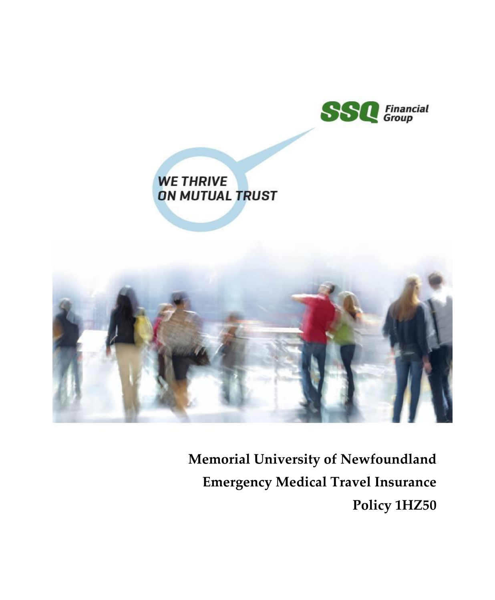

# **WE THRIVE ON MUTUAL TRUST**



**Memorial University of Newfoundland Emergency Medical Travel Insurance Policy 1HZ50**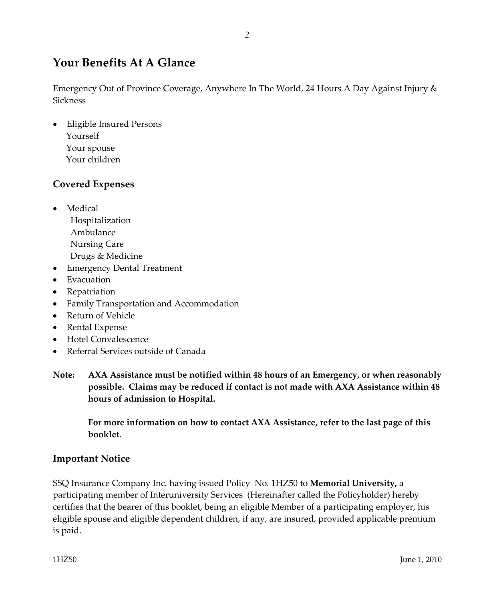# **Your Benefits At A Glance**

Emergency Out of Province Coverage, Anywhere In The World, 24 Hours A Day Against Injury & **Sickness** 

• Eligible Insured Persons Yourself Your spouse Your children

# **Covered Expenses**

- Medical Hospitalization Ambulance Nursing Care Drugs & Medicine
- Emergency Dental Treatment
- Evacuation
- Repatriation
- Family Transportation and Accommodation
- Return of Vehicle
- Rental Expense
- Hotel Convalescence
- Referral Services outside of Canada
- **Note: AXA Assistance must be notified within 48 hours of an Emergency, or when reasonably possible. Claims may be reduced if contact is not made with AXA Assistance within 48 hours of admission to Hospital.**

**For more information on how to contact AXA Assistance, refer to the last page of this booklet**.

# **Important Notice**

SSQ Insurance Company Inc. having issued Policy No. 1HZ50 to **Memorial University,** a participating member of Interuniversity Services (Hereinafter called the Policyholder) hereby certifies that the bearer of this booklet, being an eligible Member of a participating employer, his eligible spouse and eligible dependent children, if any, are insured, provided applicable premium is paid.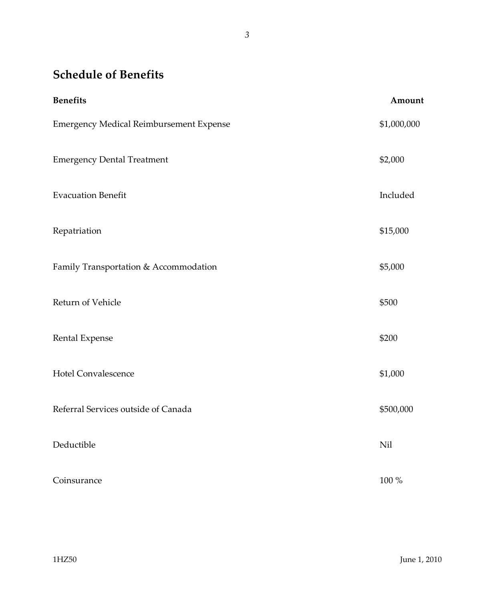# **Schedule of Benefits**

| <b>Benefits</b>                         | Amount      |
|-----------------------------------------|-------------|
| Emergency Medical Reimbursement Expense | \$1,000,000 |
| <b>Emergency Dental Treatment</b>       | \$2,000     |
| <b>Evacuation Benefit</b>               | Included    |
| Repatriation                            | \$15,000    |
| Family Transportation & Accommodation   | \$5,000     |
| Return of Vehicle                       | \$500       |
| Rental Expense                          | \$200       |
| <b>Hotel Convalescence</b>              | \$1,000     |
| Referral Services outside of Canada     | \$500,000   |
| Deductible                              | Nil         |
| Coinsurance                             | 100 %       |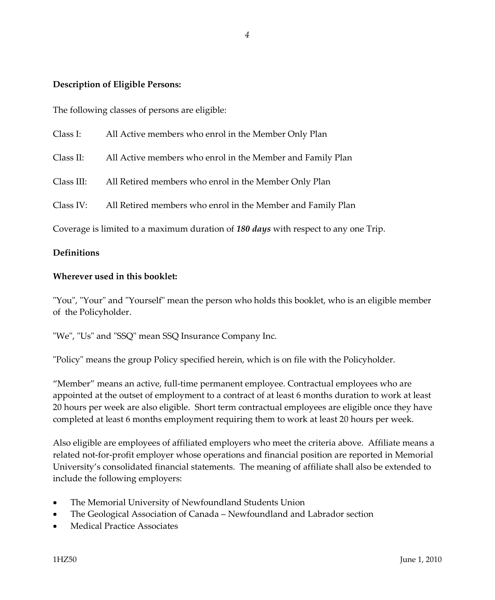# **Description of Eligible Persons:**

The following classes of persons are eligible:

| Class I:                                                                                   | All Active members who enrol in the Member Only Plan        |
|--------------------------------------------------------------------------------------------|-------------------------------------------------------------|
| Class II:                                                                                  | All Active members who enrol in the Member and Family Plan  |
| Class III:                                                                                 | All Retired members who enrol in the Member Only Plan       |
| Class IV:                                                                                  | All Retired members who enrol in the Member and Family Plan |
| Coverage is limited to a maximum duration of 180 <i>days</i> with respect to any one Trip. |                                                             |

#### **Definitions**

#### **Wherever used in this booklet:**

"You", "Your" and "Yourself" mean the person who holds this booklet, who is an eligible member of the Policyholder.

"We", "Us" and "SSQ" mean SSQ Insurance Company Inc.

"Policy" means the group Policy specified herein, which is on file with the Policyholder.

"Member" means an active, full-time permanent employee. Contractual employees who are appointed at the outset of employment to a contract of at least 6 months duration to work at least 20 hours per week are also eligible. Short term contractual employees are eligible once they have completed at least 6 months employment requiring them to work at least 20 hours per week.

Also eligible are employees of affiliated employers who meet the criteria above. Affiliate means a related not-for-profit employer whose operations and financial position are reported in Memorial University's consolidated financial statements. The meaning of affiliate shall also be extended to include the following employers:

- The Memorial University of Newfoundland Students Union
- The Geological Association of Canada Newfoundland and Labrador section
- Medical Practice Associates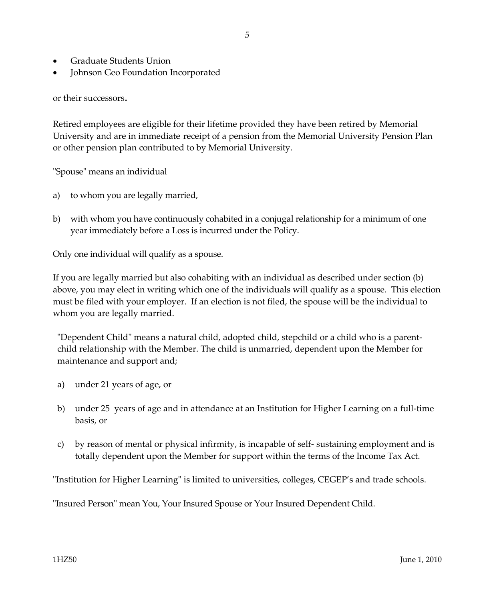- Graduate Students Union
- Johnson Geo Foundation Incorporated

or their successors.

Retired employees are eligible for their lifetime provided they have been retired by Memorial University and are in immediate receipt of a pension from the Memorial University Pension Plan or other pension plan contributed to by Memorial University.

"Spouse" means an individual

- a) to whom you are legally married,
- b) with whom you have continuously cohabited in a conjugal relationship for a minimum of one year immediately before a Loss is incurred under the Policy.

Only one individual will qualify as a spouse.

If you are legally married but also cohabiting with an individual as described under section (b) above, you may elect in writing which one of the individuals will qualify as a spouse. This election must be filed with your employer. If an election is not filed, the spouse will be the individual to whom you are legally married.

"Dependent Child" means a natural child, adopted child, stepchild or a child who is a parentchild relationship with the Member. The child is unmarried, dependent upon the Member for maintenance and support and;

- a) under 21 years of age, or
- b) under 25 years of age and in attendance at an Institution for Higher Learning on a full-time basis, or
- c) by reason of mental or physical infirmity, is incapable of self- sustaining employment and is totally dependent upon the Member for support within the terms of the Income Tax Act.

"Institution for Higher Learning" is limited to universities, colleges, CEGEP's and trade schools.

"Insured Person" mean You, Your Insured Spouse or Your Insured Dependent Child.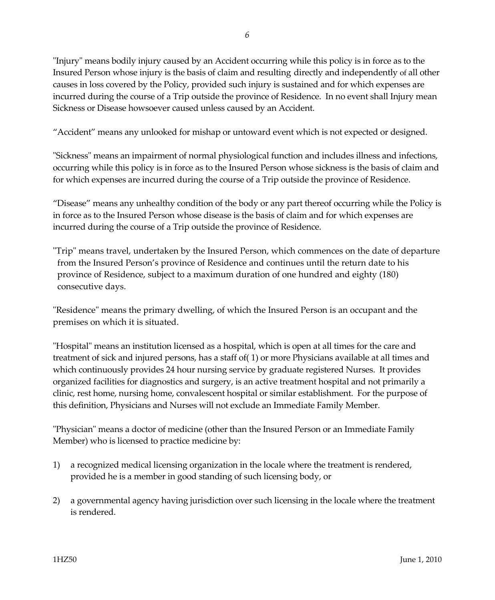"Injury" means bodily injury caused by an Accident occurring while this policy is in force as to the Insured Person whose injury is the basis of claim and resulting directly and independently of all other causes in loss covered by the Policy, provided such injury is sustained and for which expenses are incurred during the course of a Trip outside the province of Residence. In no event shall Injury mean Sickness or Disease howsoever caused unless caused by an Accident.

"Accident" means any unlooked for mishap or untoward event which is not expected or designed.

"Sickness" means an impairment of normal physiological function and includes illness and infections, occurring while this policy is in force as to the Insured Person whose sickness is the basis of claim and for which expenses are incurred during the course of a Trip outside the province of Residence.

"Disease" means any unhealthy condition of the body or any part thereof occurring while the Policy is in force as to the Insured Person whose disease is the basis of claim and for which expenses are incurred during the course of a Trip outside the province of Residence.

"Trip" means travel, undertaken by the Insured Person, which commences on the date of departure from the Insured Person's province of Residence and continues until the return date to his province of Residence, subject to a maximum duration of one hundred and eighty (180) consecutive days.

"Residence" means the primary dwelling, of which the Insured Person is an occupant and the premises on which it is situated.

"Hospital" means an institution licensed as a hospital, which is open at all times for the care and treatment of sick and injured persons, has a staff of( 1) or more Physicians available at all times and which continuously provides 24 hour nursing service by graduate registered Nurses. It provides organized facilities for diagnostics and surgery, is an active treatment hospital and not primarily a clinic, rest home, nursing home, convalescent hospital or similar establishment. For the purpose of this definition, Physicians and Nurses will not exclude an Immediate Family Member.

"Physician" means a doctor of medicine (other than the Insured Person or an Immediate Family Member) who is licensed to practice medicine by:

- 1) a recognized medical licensing organization in the locale where the treatment is rendered, provided he is a member in good standing of such licensing body, or
- 2) a governmental agency having jurisdiction over such licensing in the locale where the treatment is rendered.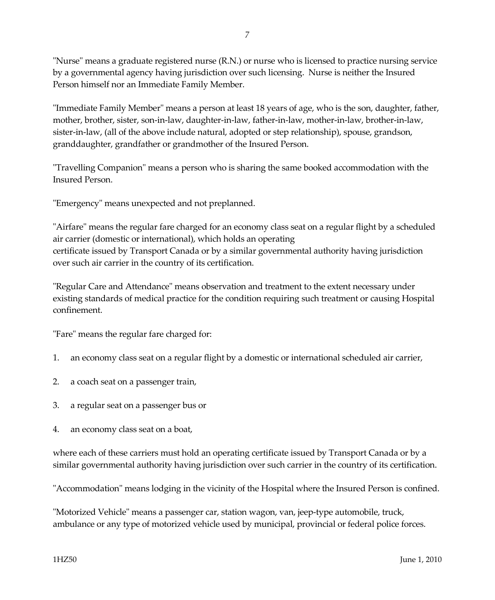"Nurse" means a graduate registered nurse (R.N.) or nurse who is licensed to practice nursing service by a governmental agency having jurisdiction over such licensing. Nurse is neither the Insured Person himself nor an Immediate Family Member.

"Immediate Family Member" means a person at least 18 years of age, who is the son, daughter, father, mother, brother, sister, son-in-law, daughter-in-law, father-in-law, mother-in-law, brother-in-law, sister-in-law, (all of the above include natural, adopted or step relationship), spouse, grandson, granddaughter, grandfather or grandmother of the Insured Person.

"Travelling Companion" means a person who is sharing the same booked accommodation with the Insured Person.

"Emergency" means unexpected and not preplanned.

"Airfare" means the regular fare charged for an economy class seat on a regular flight by a scheduled air carrier (domestic or international), which holds an operating certificate issued by Transport Canada or by a similar governmental authority having jurisdiction over such air carrier in the country of its certification.

"Regular Care and Attendance" means observation and treatment to the extent necessary under existing standards of medical practice for the condition requiring such treatment or causing Hospital confinement.

"Fare" means the regular fare charged for:

- 1. an economy class seat on a regular flight by a domestic or international scheduled air carrier,
- 2. a coach seat on a passenger train,
- 3. a regular seat on a passenger bus or
- 4. an economy class seat on a boat,

where each of these carriers must hold an operating certificate issued by Transport Canada or by a similar governmental authority having jurisdiction over such carrier in the country of its certification.

"Accommodation" means lodging in the vicinity of the Hospital where the Insured Person is confined.

"Motorized Vehicle" means a passenger car, station wagon, van, jeep-type automobile, truck, ambulance or any type of motorized vehicle used by municipal, provincial or federal police forces.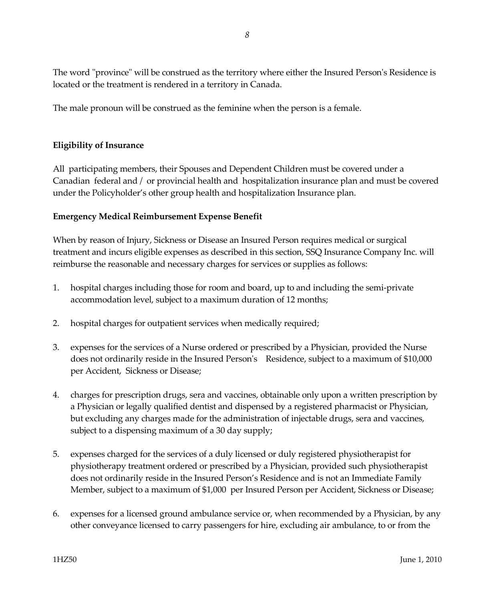The word "province" will be construed as the territory where either the Insured Person's Residence is located or the treatment is rendered in a territory in Canada.

The male pronoun will be construed as the feminine when the person is a female.

#### **Eligibility of Insurance**

All participating members, their Spouses and Dependent Children must be covered under a Canadian federal and / or provincial health and hospitalization insurance plan and must be covered under the Policyholder's other group health and hospitalization Insurance plan.

#### **Emergency Medical Reimbursement Expense Benefit**

When by reason of Injury, Sickness or Disease an Insured Person requires medical or surgical treatment and incurs eligible expenses as described in this section, SSQ Insurance Company Inc. will reimburse the reasonable and necessary charges for services or supplies as follows:

- 1. hospital charges including those for room and board, up to and including the semi-private accommodation level, subject to a maximum duration of 12 months;
- 2. hospital charges for outpatient services when medically required;
- 3. expenses for the services of a Nurse ordered or prescribed by a Physician, provided the Nurse does not ordinarily reside in the Insured Person's Residence, subject to a maximum of \$10,000 per Accident, Sickness or Disease;
- 4. charges for prescription drugs, sera and vaccines, obtainable only upon a written prescription by a Physician or legally qualified dentist and dispensed by a registered pharmacist or Physician, but excluding any charges made for the administration of injectable drugs, sera and vaccines, subject to a dispensing maximum of a 30 day supply;
- 5. expenses charged for the services of a duly licensed or duly registered physiotherapist for physiotherapy treatment ordered or prescribed by a Physician, provided such physiotherapist does not ordinarily reside in the Insured Person's Residence and is not an Immediate Family Member, subject to a maximum of \$1,000 per Insured Person per Accident, Sickness or Disease;
- 6. expenses for a licensed ground ambulance service or, when recommended by a Physician, by any other conveyance licensed to carry passengers for hire, excluding air ambulance, to or from the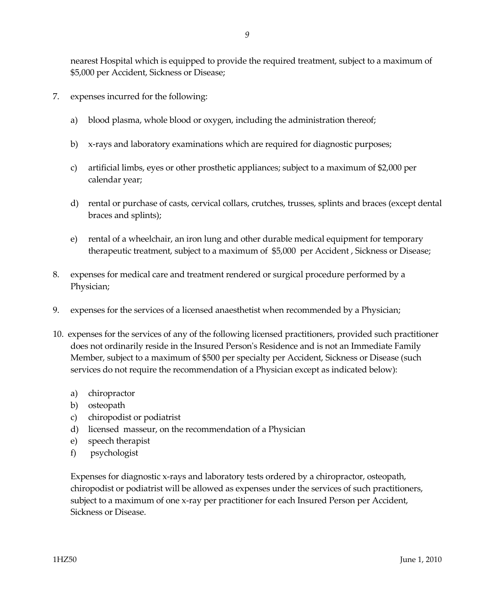nearest Hospital which is equipped to provide the required treatment, subject to a maximum of \$5,000 per Accident, Sickness or Disease;

- 7. expenses incurred for the following:
	- a) blood plasma, whole blood or oxygen, including the administration thereof;
	- b) x-rays and laboratory examinations which are required for diagnostic purposes;
	- c) artificial limbs, eyes or other prosthetic appliances; subject to a maximum of \$2,000 per calendar year;
	- d) rental or purchase of casts, cervical collars, crutches, trusses, splints and braces (except dental braces and splints);
	- e) rental of a wheelchair, an iron lung and other durable medical equipment for temporary therapeutic treatment, subject to a maximum of \$5,000 per Accident , Sickness or Disease;
- 8. expenses for medical care and treatment rendered or surgical procedure performed by a Physician;
- 9. expenses for the services of a licensed anaesthetist when recommended by a Physician;
- 10. expenses for the services of any of the following licensed practitioners, provided such practitioner does not ordinarily reside in the Insured Person's Residence and is not an Immediate Family Member, subject to a maximum of \$500 per specialty per Accident, Sickness or Disease (such services do not require the recommendation of a Physician except as indicated below):
	- a) chiropractor
	- b) osteopath
	- c) chiropodist or podiatrist
	- d) licensed masseur, on the recommendation of a Physician
	- e) speech therapist
	- f) psychologist

Expenses for diagnostic x-rays and laboratory tests ordered by a chiropractor, osteopath, chiropodist or podiatrist will be allowed as expenses under the services of such practitioners, subject to a maximum of one x-ray per practitioner for each Insured Person per Accident, Sickness or Disease.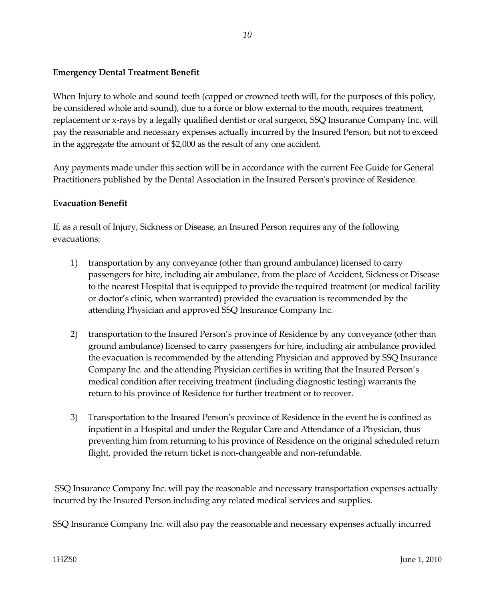# **Emergency Dental Treatment Benefit**

When Injury to whole and sound teeth (capped or crowned teeth will, for the purposes of this policy, be considered whole and sound), due to a force or blow external to the mouth, requires treatment, replacement or x-rays by a legally qualified dentist or oral surgeon, SSQ Insurance Company Inc. will pay the reasonable and necessary expenses actually incurred by the Insured Person, but not to exceed in the aggregate the amount of \$2,000 as the result of any one accident.

Any payments made under this section will be in accordance with the current Fee Guide for General Practitioners published by the Dental Association in the Insured Person's province of Residence.

# **Evacuation Benefit**

If, as a result of Injury, Sickness or Disease, an Insured Person requires any of the following evacuations:

- 1) transportation by any conveyance (other than ground ambulance) licensed to carry passengers for hire, including air ambulance, from the place of Accident, Sickness or Disease to the nearest Hospital that is equipped to provide the required treatment (or medical facility or doctor's clinic, when warranted) provided the evacuation is recommended by the attending Physician and approved SSQ Insurance Company Inc.
- 2) transportation to the Insured Person's province of Residence by any conveyance (other than ground ambulance) licensed to carry passengers for hire, including air ambulance provided the evacuation is recommended by the attending Physician and approved by SSQ Insurance Company Inc. and the attending Physician certifies in writing that the Insured Person's medical condition after receiving treatment (including diagnostic testing) warrants the return to his province of Residence for further treatment or to recover.
- 3) Transportation to the Insured Person's province of Residence in the event he is confined as inpatient in a Hospital and under the Regular Care and Attendance of a Physician, thus preventing him from returning to his province of Residence on the original scheduled return flight, provided the return ticket is non-changeable and non-refundable.

SSQ Insurance Company Inc. will pay the reasonable and necessary transportation expenses actually incurred by the Insured Person including any related medical services and supplies.

SSQ Insurance Company Inc. will also pay the reasonable and necessary expenses actually incurred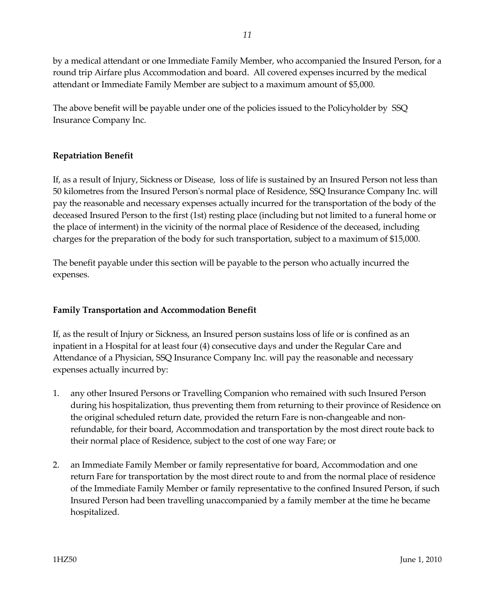by a medical attendant or one Immediate Family Member, who accompanied the Insured Person, for a round trip Airfare plus Accommodation and board. All covered expenses incurred by the medical attendant or Immediate Family Member are subject to a maximum amount of \$5,000.

The above benefit will be payable under one of the policies issued to the Policyholder by SSQ Insurance Company Inc.

# **Repatriation Benefit**

If, as a result of Injury, Sickness or Disease, loss of life is sustained by an Insured Person not less than 50 kilometres from the Insured Person's normal place of Residence, SSQ Insurance Company Inc. will pay the reasonable and necessary expenses actually incurred for the transportation of the body of the deceased Insured Person to the first (1st) resting place (including but not limited to a funeral home or the place of interment) in the vicinity of the normal place of Residence of the deceased, including charges for the preparation of the body for such transportation, subject to a maximum of \$15,000.

The benefit payable under this section will be payable to the person who actually incurred the expenses.

# **Family Transportation and Accommodation Benefit**

If, as the result of Injury or Sickness, an Insured person sustains loss of life or is confined as an inpatient in a Hospital for at least four (4) consecutive days and under the Regular Care and Attendance of a Physician, SSQ Insurance Company Inc. will pay the reasonable and necessary expenses actually incurred by:

- 1. any other Insured Persons or Travelling Companion who remained with such Insured Person during his hospitalization, thus preventing them from returning to their province of Residence on the original scheduled return date, provided the return Fare is non-changeable and nonrefundable, for their board, Accommodation and transportation by the most direct route back to their normal place of Residence, subject to the cost of one way Fare; or
- 2. an Immediate Family Member or family representative for board, Accommodation and one return Fare for transportation by the most direct route to and from the normal place of residence of the Immediate Family Member or family representative to the confined Insured Person, if such Insured Person had been travelling unaccompanied by a family member at the time he became hospitalized.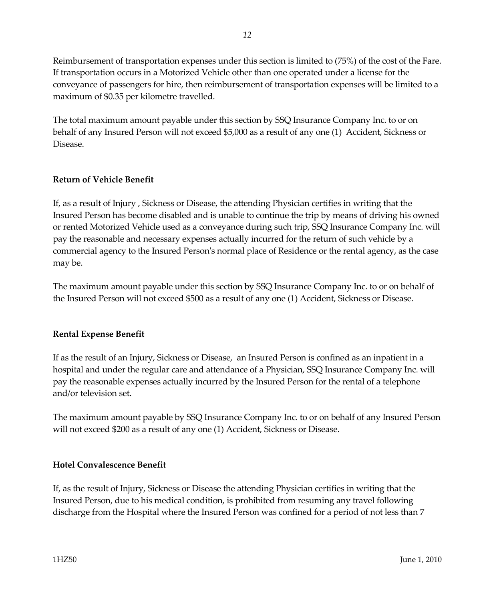Reimbursement of transportation expenses under this section is limited to (75%) of the cost of the Fare. If transportation occurs in a Motorized Vehicle other than one operated under a license for the conveyance of passengers for hire, then reimbursement of transportation expenses will be limited to a maximum of \$0.35 per kilometre travelled.

The total maximum amount payable under this section by SSQ Insurance Company Inc. to or on behalf of any Insured Person will not exceed \$5,000 as a result of any one (1) Accident, Sickness or Disease.

# **Return of Vehicle Benefit**

If, as a result of Injury , Sickness or Disease, the attending Physician certifies in writing that the Insured Person has become disabled and is unable to continue the trip by means of driving his owned or rented Motorized Vehicle used as a conveyance during such trip, SSQ Insurance Company Inc. will pay the reasonable and necessary expenses actually incurred for the return of such vehicle by a commercial agency to the Insured Person's normal place of Residence or the rental agency, as the case may be.

The maximum amount payable under this section by SSQ Insurance Company Inc. to or on behalf of the Insured Person will not exceed \$500 as a result of any one (1) Accident, Sickness or Disease.

# **Rental Expense Benefit**

If as the result of an Injury, Sickness or Disease, an Insured Person is confined as an inpatient in a hospital and under the regular care and attendance of a Physician, SSQ Insurance Company Inc. will pay the reasonable expenses actually incurred by the Insured Person for the rental of a telephone and/or television set.

The maximum amount payable by SSQ Insurance Company Inc. to or on behalf of any Insured Person will not exceed \$200 as a result of any one (1) Accident, Sickness or Disease.

# **Hotel Convalescence Benefit**

If, as the result of Injury, Sickness or Disease the attending Physician certifies in writing that the Insured Person, due to his medical condition, is prohibited from resuming any travel following discharge from the Hospital where the Insured Person was confined for a period of not less than 7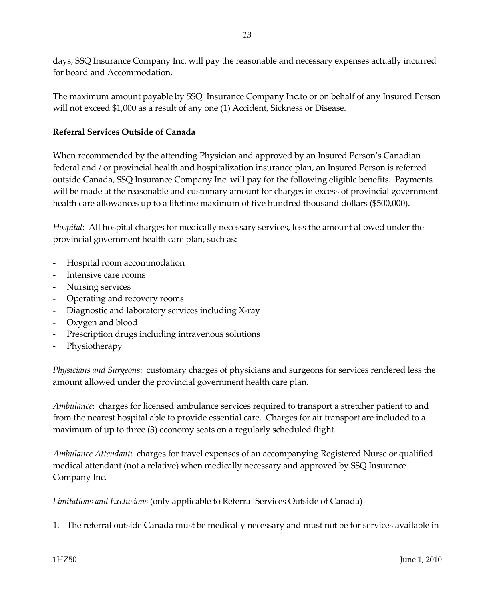days, SSQ Insurance Company Inc. will pay the reasonable and necessary expenses actually incurred for board and Accommodation.

The maximum amount payable by SSQ Insurance Company Inc.to or on behalf of any Insured Person will not exceed \$1,000 as a result of any one (1) Accident, Sickness or Disease.

# **Referral Services Outside of Canada**

When recommended by the attending Physician and approved by an Insured Person's Canadian federal and / or provincial health and hospitalization insurance plan, an Insured Person is referred outside Canada, SSQ Insurance Company Inc. will pay for the following eligible benefits. Payments will be made at the reasonable and customary amount for charges in excess of provincial government health care allowances up to a lifetime maximum of five hundred thousand dollars (\$500,000).

*Hospital*: All hospital charges for medically necessary services, less the amount allowed under the provincial government health care plan, such as:

- Hospital room accommodation
- Intensive care rooms
- Nursing services
- Operating and recovery rooms
- Diagnostic and laboratory services including X-ray
- Oxygen and blood
- Prescription drugs including intravenous solutions
- Physiotherapy

*Physicians and Surgeons*: customary charges of physicians and surgeons for services rendered less the amount allowed under the provincial government health care plan.

*Ambulance*: charges for licensed ambulance services required to transport a stretcher patient to and from the nearest hospital able to provide essential care. Charges for air transport are included to a maximum of up to three (3) economy seats on a regularly scheduled flight.

*Ambulance Attendant*: charges for travel expenses of an accompanying Registered Nurse or qualified medical attendant (not a relative) when medically necessary and approved by SSQ Insurance Company Inc.

*Limitations and Exclusions* (only applicable to Referral Services Outside of Canada)

1. The referral outside Canada must be medically necessary and must not be for services available in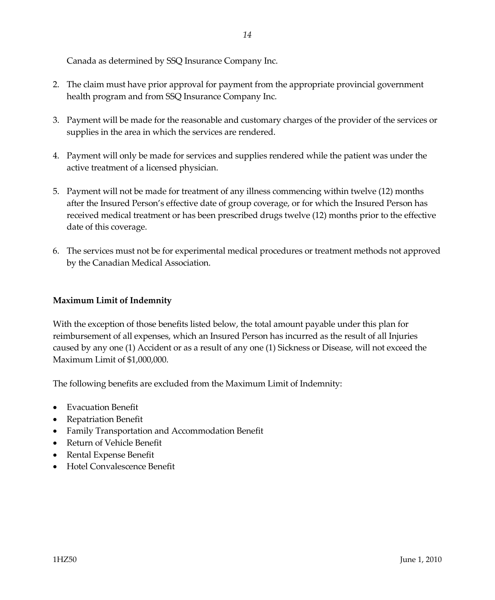Canada as determined by SSQ Insurance Company Inc.

- 2. The claim must have prior approval for payment from the appropriate provincial government health program and from SSQ Insurance Company Inc.
- 3. Payment will be made for the reasonable and customary charges of the provider of the services or supplies in the area in which the services are rendered.
- 4. Payment will only be made for services and supplies rendered while the patient was under the active treatment of a licensed physician.
- 5. Payment will not be made for treatment of any illness commencing within twelve (12) months after the Insured Person's effective date of group coverage, or for which the Insured Person has received medical treatment or has been prescribed drugs twelve (12) months prior to the effective date of this coverage.
- 6. The services must not be for experimental medical procedures or treatment methods not approved by the Canadian Medical Association.

# **Maximum Limit of Indemnity**

With the exception of those benefits listed below, the total amount payable under this plan for reimbursement of all expenses, which an Insured Person has incurred as the result of all Injuries caused by any one (1) Accident or as a result of any one (1) Sickness or Disease, will not exceed the Maximum Limit of \$1,000,000.

The following benefits are excluded from the Maximum Limit of Indemnity:

- Evacuation Benefit
- Repatriation Benefit
- Family Transportation and Accommodation Benefit
- Return of Vehicle Benefit
- Rental Expense Benefit
- Hotel Convalescence Benefit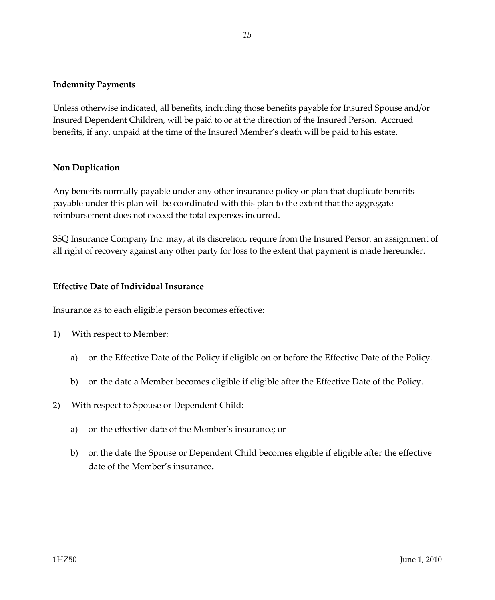#### **Indemnity Payments**

Unless otherwise indicated, all benefits, including those benefits payable for Insured Spouse and/or Insured Dependent Children, will be paid to or at the direction of the Insured Person. Accrued benefits, if any, unpaid at the time of the Insured Member's death will be paid to his estate.

#### **Non Duplication**

Any benefits normally payable under any other insurance policy or plan that duplicate benefits payable under this plan will be coordinated with this plan to the extent that the aggregate reimbursement does not exceed the total expenses incurred.

SSQ Insurance Company Inc. may, at its discretion, require from the Insured Person an assignment of all right of recovery against any other party for loss to the extent that payment is made hereunder.

#### **Effective Date of Individual Insurance**

Insurance as to each eligible person becomes effective:

- 1) With respect to Member:
	- a) on the Effective Date of the Policy if eligible on or before the Effective Date of the Policy.
	- b) on the date a Member becomes eligible if eligible after the Effective Date of the Policy.
- 2) With respect to Spouse or Dependent Child:
	- a) on the effective date of the Member's insurance; or
	- b) on the date the Spouse or Dependent Child becomes eligible if eligible after the effective date of the Member's insurance.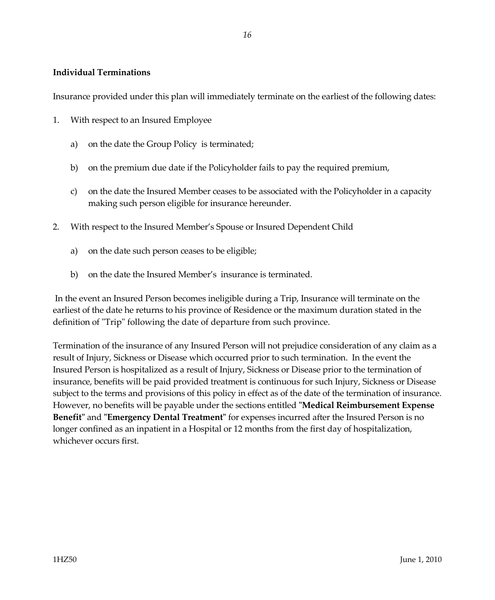#### **Individual Terminations**

Insurance provided under this plan will immediately terminate on the earliest of the following dates:

- 1. With respect to an Insured Employee
	- a) on the date the Group Policy is terminated;
	- b) on the premium due date if the Policyholder fails to pay the required premium,
	- c) on the date the Insured Member ceases to be associated with the Policyholder in a capacity making such person eligible for insurance hereunder.
- 2. With respect to the Insured Member's Spouse or Insured Dependent Child
	- a) on the date such person ceases to be eligible;
	- b) on the date the Insured Member's insurance is terminated.

In the event an Insured Person becomes ineligible during a Trip, Insurance will terminate on the earliest of the date he returns to his province of Residence or the maximum duration stated in the definition of "Trip" following the date of departure from such province.

Termination of the insurance of any Insured Person will not prejudice consideration of any claim as a result of Injury, Sickness or Disease which occurred prior to such termination. In the event the Insured Person is hospitalized as a result of Injury, Sickness or Disease prior to the termination of insurance, benefits will be paid provided treatment is continuous for such Injury, Sickness or Disease subject to the terms and provisions of this policy in effect as of the date of the termination of insurance. However, no benefits will be payable under the sections entitled **"Medical Reimbursement Expense Benefit"** and **"Emergency Dental Treatment"** for expenses incurred after the Insured Person is no longer confined as an inpatient in a Hospital or 12 months from the first day of hospitalization, whichever occurs first.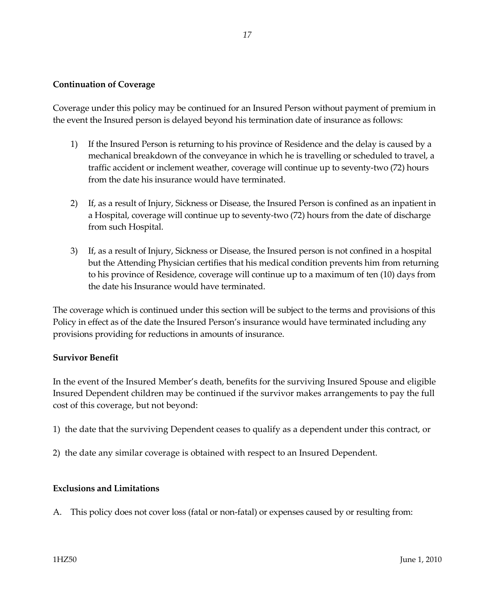#### **Continuation of Coverage**

Coverage under this policy may be continued for an Insured Person without payment of premium in the event the Insured person is delayed beyond his termination date of insurance as follows:

- 1) If the Insured Person is returning to his province of Residence and the delay is caused by a mechanical breakdown of the conveyance in which he is travelling or scheduled to travel, a traffic accident or inclement weather, coverage will continue up to seventy-two (72) hours from the date his insurance would have terminated.
- 2) If, as a result of Injury, Sickness or Disease, the Insured Person is confined as an inpatient in a Hospital, coverage will continue up to seventy-two (72) hours from the date of discharge from such Hospital.
- 3) If, as a result of Injury, Sickness or Disease, the Insured person is not confined in a hospital but the Attending Physician certifies that his medical condition prevents him from returning to his province of Residence, coverage will continue up to a maximum of ten (10) days from the date his Insurance would have terminated.

The coverage which is continued under this section will be subject to the terms and provisions of this Policy in effect as of the date the Insured Person's insurance would have terminated including any provisions providing for reductions in amounts of insurance.

#### **Survivor Benefit**

In the event of the Insured Member's death, benefits for the surviving Insured Spouse and eligible Insured Dependent children may be continued if the survivor makes arrangements to pay the full cost of this coverage, but not beyond:

- 1) the date that the surviving Dependent ceases to qualify as a dependent under this contract, or
- 2) the date any similar coverage is obtained with respect to an Insured Dependent.

#### **Exclusions and Limitations**

A. This policy does not cover loss (fatal or non-fatal) or expenses caused by or resulting from: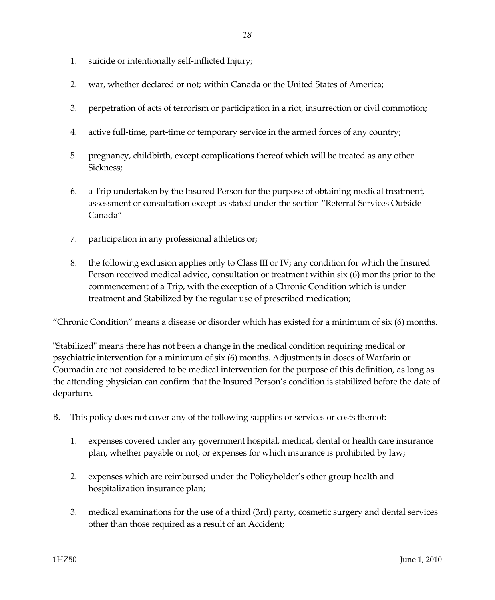- 1. suicide or intentionally self-inflicted Injury;
- 2. war, whether declared or not; within Canada or the United States of America;
- 3. perpetration of acts of terrorism or participation in a riot, insurrection or civil commotion;
- 4. active full-time, part-time or temporary service in the armed forces of any country;
- 5. pregnancy, childbirth, except complications thereof which will be treated as any other Sickness;
- 6. a Trip undertaken by the Insured Person for the purpose of obtaining medical treatment, assessment or consultation except as stated under the section "Referral Services Outside Canada"
- 7. participation in any professional athletics or;
- 8. the following exclusion applies only to Class III or IV; any condition for which the Insured Person received medical advice, consultation or treatment within six (6) months prior to the commencement of a Trip, with the exception of a Chronic Condition which is under treatment and Stabilized by the regular use of prescribed medication;

"Chronic Condition" means a disease or disorder which has existed for a minimum of six (6) months.

"Stabilized" means there has not been a change in the medical condition requiring medical or psychiatric intervention for a minimum of six (6) months. Adjustments in doses of Warfarin or Coumadin are not considered to be medical intervention for the purpose of this definition, as long as the attending physician can confirm that the Insured Person's condition is stabilized before the date of departure.

- B. This policy does not cover any of the following supplies or services or costs thereof:
	- 1. expenses covered under any government hospital, medical, dental or health care insurance plan, whether payable or not, or expenses for which insurance is prohibited by law;
	- 2. expenses which are reimbursed under the Policyholder's other group health and hospitalization insurance plan;
	- 3. medical examinations for the use of a third (3rd) party, cosmetic surgery and dental services other than those required as a result of an Accident;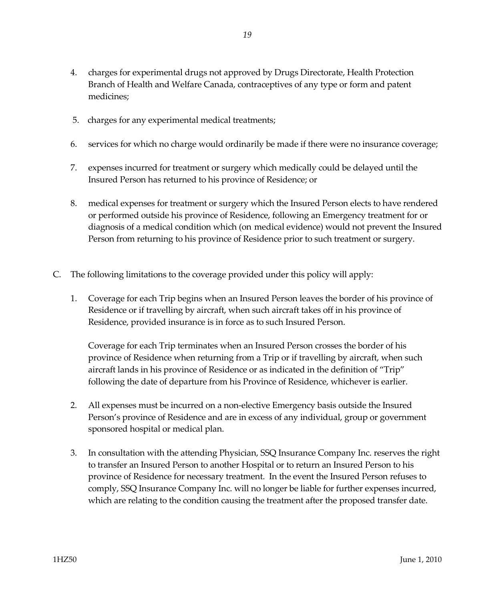- 4. charges for experimental drugs not approved by Drugs Directorate, Health Protection Branch of Health and Welfare Canada, contraceptives of any type or form and patent medicines;
- 5. charges for any experimental medical treatments;
- 6. services for which no charge would ordinarily be made if there were no insurance coverage;
- 7. expenses incurred for treatment or surgery which medically could be delayed until the Insured Person has returned to his province of Residence; or
- 8. medical expenses for treatment or surgery which the Insured Person elects to have rendered or performed outside his province of Residence, following an Emergency treatment for or diagnosis of a medical condition which (on medical evidence) would not prevent the Insured Person from returning to his province of Residence prior to such treatment or surgery.
- C. The following limitations to the coverage provided under this policy will apply:
	- 1. Coverage for each Trip begins when an Insured Person leaves the border of his province of Residence or if travelling by aircraft, when such aircraft takes off in his province of Residence, provided insurance is in force as to such Insured Person.

Coverage for each Trip terminates when an Insured Person crosses the border of his province of Residence when returning from a Trip or if travelling by aircraft, when such aircraft lands in his province of Residence or as indicated in the definition of "Trip" following the date of departure from his Province of Residence, whichever is earlier.

- 2. All expenses must be incurred on a non-elective Emergency basis outside the Insured Person's province of Residence and are in excess of any individual, group or government sponsored hospital or medical plan.
- 3. In consultation with the attending Physician, SSQ Insurance Company Inc. reserves the right to transfer an Insured Person to another Hospital or to return an Insured Person to his province of Residence for necessary treatment. In the event the Insured Person refuses to comply, SSQ Insurance Company Inc. will no longer be liable for further expenses incurred, which are relating to the condition causing the treatment after the proposed transfer date.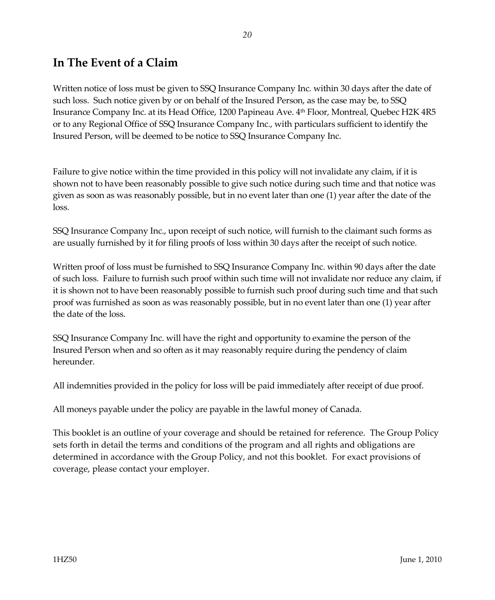# **In The Event of a Claim**

Written notice of loss must be given to SSQ Insurance Company Inc. within 30 days after the date of such loss. Such notice given by or on behalf of the Insured Person, as the case may be, to SSQ Insurance Company Inc. at its Head Office, 1200 Papineau Ave. 4th Floor, Montreal, Quebec H2K 4R5 or to any Regional Office of SSQ Insurance Company Inc., with particulars sufficient to identify the Insured Person, will be deemed to be notice to SSQ Insurance Company Inc.

Failure to give notice within the time provided in this policy will not invalidate any claim, if it is shown not to have been reasonably possible to give such notice during such time and that notice was given as soon as was reasonably possible, but in no event later than one (1) year after the date of the loss.

SSQ Insurance Company Inc., upon receipt of such notice, will furnish to the claimant such forms as are usually furnished by it for filing proofs of loss within 30 days after the receipt of such notice.

Written proof of loss must be furnished to SSQ Insurance Company Inc. within 90 days after the date of such loss. Failure to furnish such proof within such time will not invalidate nor reduce any claim, if it is shown not to have been reasonably possible to furnish such proof during such time and that such proof was furnished as soon as was reasonably possible, but in no event later than one (1) year after the date of the loss.

SSQ Insurance Company Inc. will have the right and opportunity to examine the person of the Insured Person when and so often as it may reasonably require during the pendency of claim hereunder.

All indemnities provided in the policy for loss will be paid immediately after receipt of due proof.

All moneys payable under the policy are payable in the lawful money of Canada.

This booklet is an outline of your coverage and should be retained for reference. The Group Policy sets forth in detail the terms and conditions of the program and all rights and obligations are determined in accordance with the Group Policy, and not this booklet. For exact provisions of coverage, please contact your employer.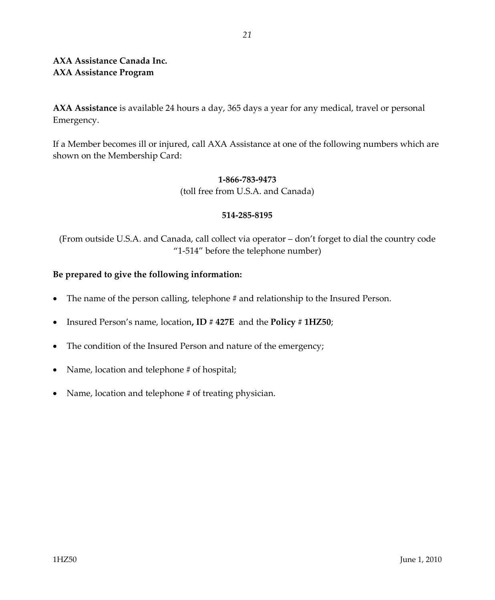# **AXA Assistance Canada Inc. AXA Assistance Program**

**AXA Assistance** is available 24 hours a day, 365 days a year for any medical, travel or personal Emergency.

If a Member becomes ill or injured, call AXA Assistance at one of the following numbers which are shown on the Membership Card:

#### **1-866-783-9473**

(toll free from U.S.A. and Canada)

#### **514-285-8195**

(From outside U.S.A. and Canada, call collect via operator – don't forget to dial the country code "1-514" before the telephone number)

# **Be prepared to give the following information:**

- The name of the person calling, telephone # and relationship to the Insured Person.
- Insured Person's name, location**, ID # 427E** and the **Policy # 1HZ50**;
- The condition of the Insured Person and nature of the emergency;
- Name, location and telephone # of hospital;
- Name, location and telephone # of treating physician.